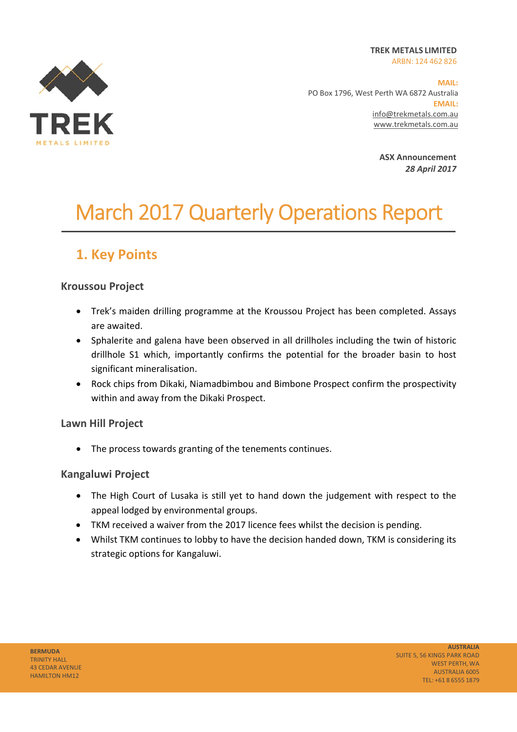**TREK METALS LIMITED**  ARBN: 124 462 826



**MAIL:**  PO Box 1796, West Perth WA 6872 Australia **EMAIL:** info@trekmetals.com.au www.trekmetals.com.au

> **ASX Announcement**  *28 April 2017*

# March 2017 Quarterly Operations Report

# **1. Key Points**

### **Kroussou Project**

- Trek's maiden drilling programme at the Kroussou Project has been completed. Assays are awaited.
- Sphalerite and galena have been observed in all drillholes including the twin of historic drillhole S1 which, importantly confirms the potential for the broader basin to host significant mineralisation.
- Rock chips from Dikaki, Niamadbimbou and Bimbone Prospect confirm the prospectivity within and away from the Dikaki Prospect.

### **Lawn Hill Project**

• The process towards granting of the tenements continues.

### **Kangaluwi Project**

- The High Court of Lusaka is still yet to hand down the judgement with respect to the appeal lodged by environmental groups.
- TKM received a waiver from the 2017 licence fees whilst the decision is pending.
- Whilst TKM continues to lobby to have the decision handed down, TKM is considering its strategic options for Kangaluwi.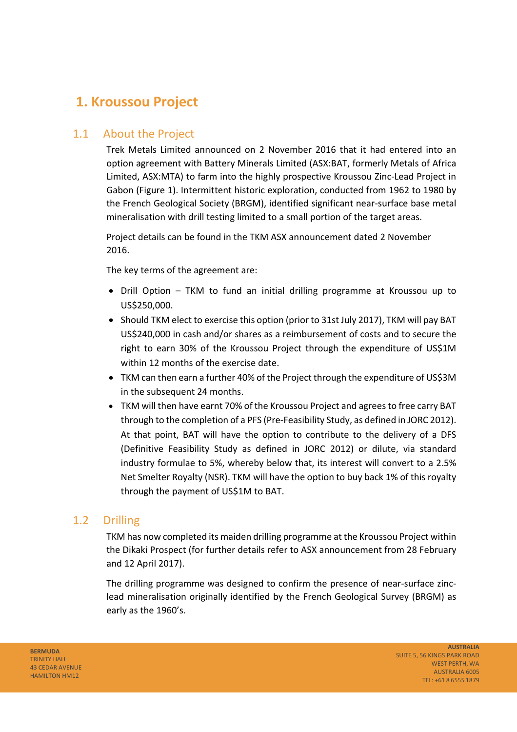# **1. Kroussou Project**

### 1.1 About the Project

Trek Metals Limited announced on 2 November 2016 that it had entered into an option agreement with Battery Minerals Limited (ASX:BAT, formerly Metals of Africa Limited, ASX:MTA) to farm into the highly prospective Kroussou Zinc‐Lead Project in Gabon (Figure 1). Intermittent historic exploration, conducted from 1962 to 1980 by the French Geological Society (BRGM), identified significant near‐surface base metal mineralisation with drill testing limited to a small portion of the target areas.

Project details can be found in the TKM ASX announcement dated 2 November 2016.

The key terms of the agreement are:

- Drill Option TKM to fund an initial drilling programme at Kroussou up to US\$250,000.
- Should TKM elect to exercise this option (prior to 31st July 2017), TKM will pay BAT US\$240,000 in cash and/or shares as a reimbursement of costs and to secure the right to earn 30% of the Kroussou Project through the expenditure of US\$1M within 12 months of the exercise date.
- TKM can then earn a further 40% of the Project through the expenditure of US\$3M in the subsequent 24 months.
- TKM will then have earnt 70% of the Kroussou Project and agrees to free carry BAT through to the completion of a PFS (Pre‐Feasibility Study, as defined in JORC 2012). At that point, BAT will have the option to contribute to the delivery of a DFS (Definitive Feasibility Study as defined in JORC 2012) or dilute, via standard industry formulae to 5%, whereby below that, its interest will convert to a 2.5% Net Smelter Royalty (NSR). TKM will have the option to buy back 1% of this royalty through the payment of US\$1M to BAT.

### 1.2 Drilling

TKM has now completed its maiden drilling programme at the Kroussou Project within the Dikaki Prospect (for further details refer to ASX announcement from 28 February and 12 April 2017).

The drilling programme was designed to confirm the presence of near‐surface zinc‐ lead mineralisation originally identified by the French Geological Survey (BRGM) as early as the 1960's.

**BERMUDA** TRINITY HALL 43 CEDAR AVENUE HAMILTON HM12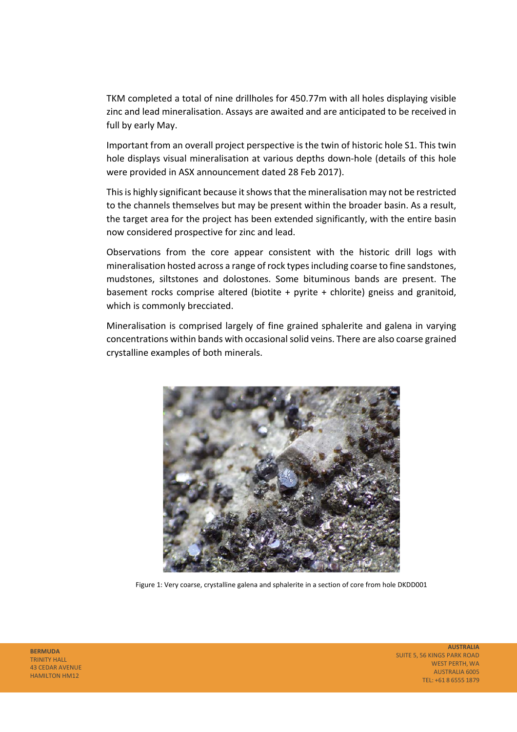TKM completed a total of nine drillholes for 450.77m with all holes displaying visible zinc and lead mineralisation. Assays are awaited and are anticipated to be received in full by early May.

Important from an overall project perspective is the twin of historic hole S1. This twin hole displays visual mineralisation at various depths down‐hole (details of this hole were provided in ASX announcement dated 28 Feb 2017).

This is highly significant because it shows that the mineralisation may not be restricted to the channels themselves but may be present within the broader basin. As a result, the target area for the project has been extended significantly, with the entire basin now considered prospective for zinc and lead.

Observations from the core appear consistent with the historic drill logs with mineralisation hosted across a range of rock types including coarse to fine sandstones, mudstones, siltstones and dolostones. Some bituminous bands are present. The basement rocks comprise altered (biotite  $+$  pyrite  $+$  chlorite) gneiss and granitoid, which is commonly brecciated.

Mineralisation is comprised largely of fine grained sphalerite and galena in varying concentrations within bands with occasional solid veins. There are also coarse grained crystalline examples of both minerals.



Figure 1: Very coarse, crystalline galena and sphalerite in a section of core from hole DKDD001

**BERMUDA**  TRINITY HALL 43 CEDAR AVENUE HAMILTON HM12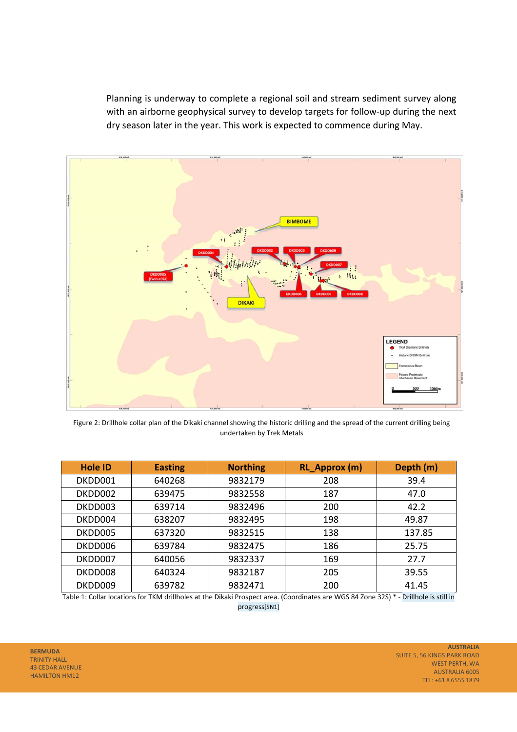Planning is underway to complete a regional soil and stream sediment survey along with an airborne geophysical survey to develop targets for follow-up during the next dry season later in the year. This work is expected to commence during May.



Figure 2: Drillhole collar plan of the Dikaki channel showing the historic drilling and the spread of the current drilling being undertaken by Trek Metals

| <b>Hole ID</b> | <b>Easting</b> | <b>Northing</b> | RL_Approx (m) | Depth (m) |
|----------------|----------------|-----------------|---------------|-----------|
| DKDD001        | 640268         | 9832179         | 208           | 39.4      |
| DKDD002        | 639475         | 9832558         | 187           | 47.0      |
| DKDD003        | 639714         | 9832496         | 200           | 42.2      |
| DKDD004        | 638207         | 9832495         | 198           | 49.87     |
| DKDD005        | 637320         | 9832515         | 138           | 137.85    |
| DKDD006        | 639784         | 9832475         | 186           | 25.75     |
| DKDD007        | 640056         | 9832337         | 169           | 27.7      |
| DKDD008        | 640324         | 9832187         | 205           | 39.55     |
| DKDD009        | 639782         | 9832471         | 200           | 41.45     |

Table 1: Collar locations for TKM drillholes at the Dikaki Prospect area. (Coordinates are WGS 84 Zone 32S) \* ‐ Drillhole is still in progress[SN1]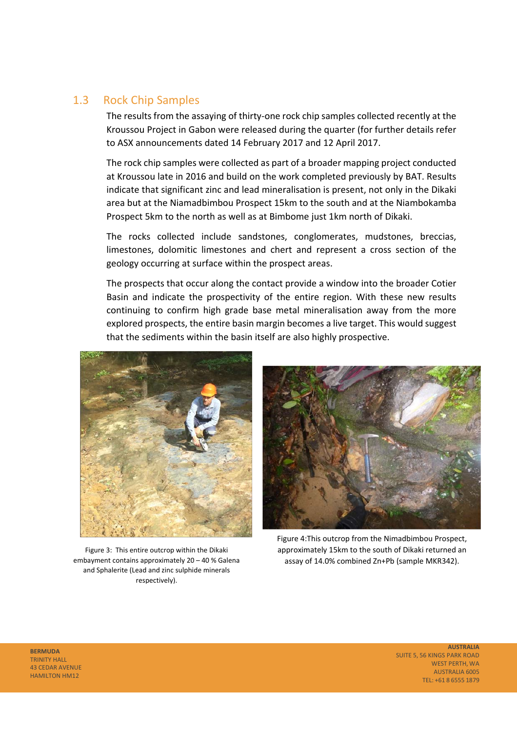### 1.3 Rock Chip Samples

The results from the assaying of thirty-one rock chip samples collected recently at the Kroussou Project in Gabon were released during the quarter (for further details refer to ASX announcements dated 14 February 2017 and 12 April 2017.

The rock chip samples were collected as part of a broader mapping project conducted at Kroussou late in 2016 and build on the work completed previously by BAT. Results indicate that significant zinc and lead mineralisation is present, not only in the Dikaki area but at the Niamadbimbou Prospect 15km to the south and at the Niambokamba Prospect 5km to the north as well as at Bimbome just 1km north of Dikaki.

The rocks collected include sandstones, conglomerates, mudstones, breccias, limestones, dolomitic limestones and chert and represent a cross section of the geology occurring at surface within the prospect areas.

The prospects that occur along the contact provide a window into the broader Cotier Basin and indicate the prospectivity of the entire region. With these new results continuing to confirm high grade base metal mineralisation away from the more explored prospects, the entire basin margin becomes a live target. This would suggest that the sediments within the basin itself are also highly prospective.



Figure 3: This entire outcrop within the Dikaki embayment contains approximately 20 – 40 % Galena and Sphalerite (Lead and zinc sulphide minerals respectively).



Figure 4:This outcrop from the Nimadbimbou Prospect, approximately 15km to the south of Dikaki returned an assay of 14.0% combined Zn+Pb (sample MKR342).

**BERMUDA**  TRINITY HALL 43 CEDAR AVENUE HAMILTON HM12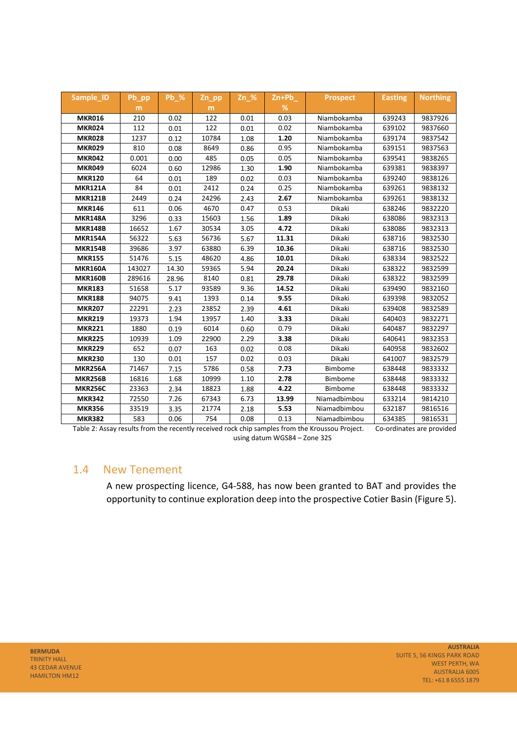| Sample ID      | Pb_pp  | <b>Pb %</b> | $Zn$ pp | $Zn \%$ | $Zn+Pb$ | <b>Prospect</b> | <b>Easting</b> | <b>Northing</b> |
|----------------|--------|-------------|---------|---------|---------|-----------------|----------------|-----------------|
|                | m      |             | m       |         | %       |                 |                |                 |
| <b>MKR016</b>  | 210    | 0.02        | 122     | 0.01    | 0.03    | Niambokamba     | 639243         | 9837926         |
| <b>MKR024</b>  | 112    | 0.01        | 122     | 0.01    | 0.02    | Niambokamba     | 639102         | 9837660         |
| <b>MKR028</b>  | 1237   | 0.12        | 10784   | 1.08    | 1.20    | Niambokamba     | 639174         | 9837542         |
| <b>MKR029</b>  | 810    | 0.08        | 8649    | 0.86    | 0.95    | Niambokamba     | 639151         | 9837563         |
| <b>MKR042</b>  | 0.001  | 0.00        | 485     | 0.05    | 0.05    | Niambokamba     | 639541         | 9838265         |
| <b>MKR049</b>  | 6024   | 0.60        | 12986   | 1.30    | 1.90    | Niambokamba     | 639381         | 9838397         |
| <b>MKR120</b>  | 64     | 0.01        | 189     | 0.02    | 0.03    | Niambokamba     | 639240         | 9838126         |
| <b>MKR121A</b> | 84     | 0.01        | 2412    | 0.24    | 0.25    | Niambokamba     | 639261         | 9838132         |
| <b>MKR121B</b> | 2449   | 0.24        | 24296   | 2.43    | 2.67    | Niambokamba     | 639261         | 9838132         |
| <b>MKR146</b>  | 611    | 0.06        | 4670    | 0.47    | 0.53    | Dikaki          | 638246         | 9832220         |
| <b>MKR148A</b> | 3296   | 0.33        | 15603   | 1.56    | 1.89    | Dikaki          | 638086         | 9832313         |
| <b>MKR148B</b> | 16652  | 1.67        | 30534   | 3.05    | 4.72    | Dikaki          | 638086         | 9832313         |
| <b>MKR154A</b> | 56322  | 5.63        | 56736   | 5.67    | 11.31   | Dikaki          | 638716         | 9832530         |
| <b>MKR154B</b> | 39686  | 3.97        | 63880   | 6.39    | 10.36   | Dikaki          | 638716         | 9832530         |
| <b>MKR155</b>  | 51476  | 5.15        | 48620   | 4.86    | 10.01   | Dikaki          | 638334         | 9832522         |
| <b>MKR160A</b> | 143027 | 14.30       | 59365   | 5.94    | 20.24   | Dikaki          | 638322         | 9832599         |
| <b>MKR160B</b> | 289616 | 28.96       | 8140    | 0.81    | 29.78   | Dikaki          | 638322         | 9832599         |
| <b>MKR183</b>  | 51658  | 5.17        | 93589   | 9.36    | 14.52   | Dikaki          | 639490         | 9832160         |
| <b>MKR188</b>  | 94075  | 9.41        | 1393    | 0.14    | 9.55    | Dikaki          | 639398         | 9832052         |
| <b>MKR207</b>  | 22291  | 2.23        | 23852   | 2.39    | 4.61    | Dikaki          | 639408         | 9832589         |
| <b>MKR219</b>  | 19373  | 1.94        | 13957   | 1.40    | 3.33    | Dikaki          | 640403         | 9832271         |
| <b>MKR221</b>  | 1880   | 0.19        | 6014    | 0.60    | 0.79    | Dikaki          | 640487         | 9832297         |
| <b>MKR225</b>  | 10939  | 1.09        | 22900   | 2.29    | 3.38    | Dikaki          | 640641         | 9832353         |
| <b>MKR229</b>  | 652    | 0.07        | 163     | 0.02    | 0.08    | Dikaki          | 640958         | 9832602         |
| <b>MKR230</b>  | 130    | 0.01        | 157     | 0.02    | 0.03    | Dikaki          | 641007         | 9832579         |
| <b>MKR256A</b> | 71467  | 7.15        | 5786    | 0.58    | 7.73    | Bimbome         | 638448         | 9833332         |
| <b>MKR256B</b> | 16816  | 1.68        | 10999   | 1.10    | 2.78    | Bimbome         | 638448         | 9833332         |
| <b>MKR256C</b> | 23363  | 2.34        | 18823   | 1.88    | 4.22    | Bimbome         | 638448         | 9833332         |
| <b>MKR342</b>  | 72550  | 7.26        | 67343   | 6.73    | 13.99   | Niamadbimbou    | 633214         | 9814210         |
| <b>MKR356</b>  | 33519  | 3.35        | 21774   | 2.18    | 5.53    | Niamadbimbou    | 632187         | 9816516         |
| <b>MKR382</b>  | 583    | 0.06        | 754     | 0.08    | 0.13    | Niamadbimbou    | 634385         | 9816531         |

Table 2: Assay results from the recently received rock chip samples from the Kroussou Project. Co-ordinates are provided using datum WGS84 – Zone 32S

### 1.4 New Tenement

A new prospecting licence, G4‐588, has now been granted to BAT and provides the opportunity to continue exploration deep into the prospective Cotier Basin (Figure 5).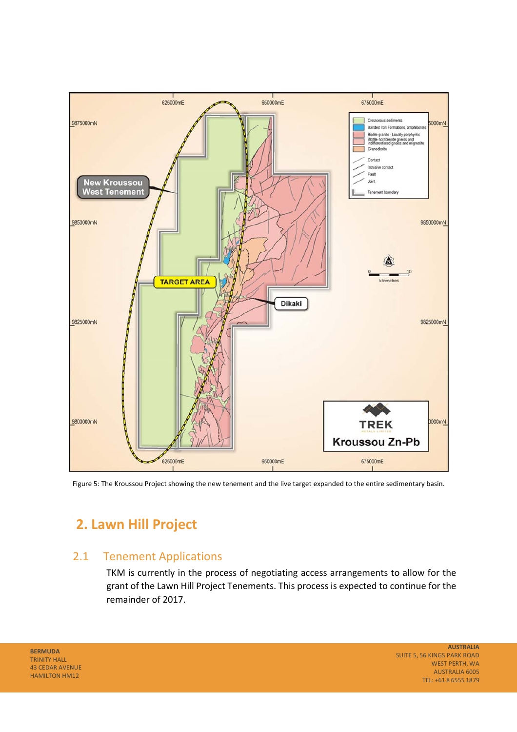

Figure 5: The Kroussou Project showing the new tenement and the live target expanded to the entire sedimentary basin.

# **2. Lawn Hill Project**

### 2.1 Tenement Applications

TKM is currently in the process of negotiating access arrangements to allow for the grant of the Lawn Hill Project Tenements. This process is expected to continue for the remainder of 2017.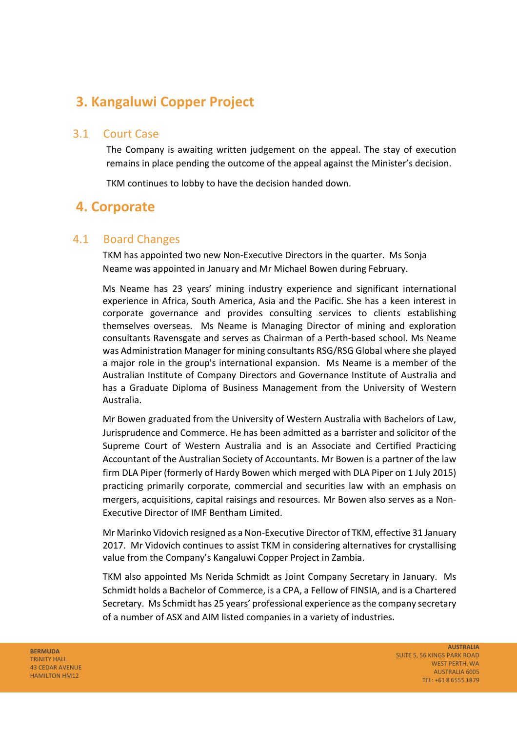# **3. Kangaluwi Copper Project**

### 3.1 Court Case

The Company is awaiting written judgement on the appeal. The stay of execution remains in place pending the outcome of the appeal against the Minister's decision.

TKM continues to lobby to have the decision handed down.

### **4. Corporate**

### 4.1 Board Changes

TKM has appointed two new Non‐Executive Directors in the quarter. Ms Sonja Neame was appointed in January and Mr Michael Bowen during February.

Ms Neame has 23 years' mining industry experience and significant international experience in Africa, South America, Asia and the Pacific. She has a keen interest in corporate governance and provides consulting services to clients establishing themselves overseas. Ms Neame is Managing Director of mining and exploration consultants Ravensgate and serves as Chairman of a Perth‐based school. Ms Neame was Administration Manager for mining consultants RSG/RSG Global where she played a major role in the group's international expansion. Ms Neame is a member of the Australian Institute of Company Directors and Governance Institute of Australia and has a Graduate Diploma of Business Management from the University of Western Australia.

Mr Bowen graduated from the University of Western Australia with Bachelors of Law, Jurisprudence and Commerce. He has been admitted as a barrister and solicitor of the Supreme Court of Western Australia and is an Associate and Certified Practicing Accountant of the Australian Society of Accountants. Mr Bowen is a partner of the law firm DLA Piper (formerly of Hardy Bowen which merged with DLA Piper on 1 July 2015) practicing primarily corporate, commercial and securities law with an emphasis on mergers, acquisitions, capital raisings and resources. Mr Bowen also serves as a Non‐ Executive Director of IMF Bentham Limited.

Mr Marinko Vidovich resigned as a Non‐Executive Director of TKM, effective 31 January 2017. Mr Vidovich continues to assist TKM in considering alternatives for crystallising value from the Company's Kangaluwi Copper Project in Zambia.

TKM also appointed Ms Nerida Schmidt as Joint Company Secretary in January. Ms Schmidt holds a Bachelor of Commerce, is a CPA, a Fellow of FINSIA, and is a Chartered Secretary. Ms Schmidt has 25 years' professional experience as the company secretary of a number of ASX and AIM listed companies in a variety of industries.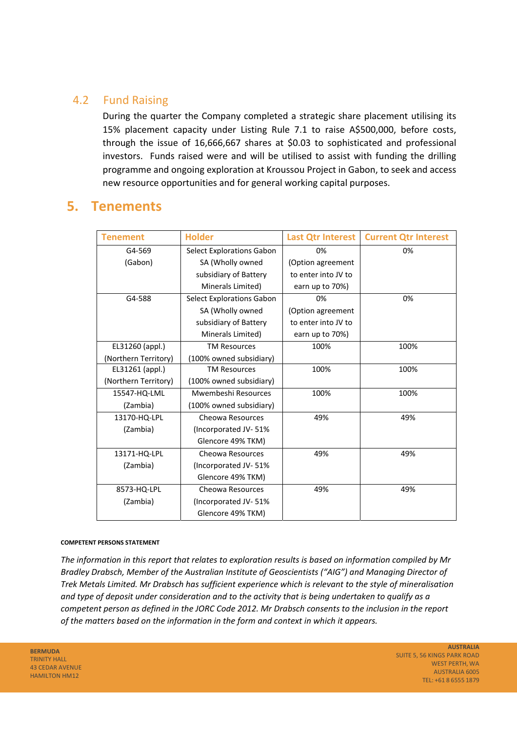### 4.2 Fund Raising

During the quarter the Company completed a strategic share placement utilising its 15% placement capacity under Listing Rule 7.1 to raise A\$500,000, before costs, through the issue of 16,666,667 shares at \$0.03 to sophisticated and professional investors. Funds raised were and will be utilised to assist with funding the drilling programme and ongoing exploration at Kroussou Project in Gabon, to seek and access new resource opportunities and for general working capital purposes.

### **5. Tenements**

| <b>Tenement</b>      | <b>Holder</b>                    | <b>Last Qtr Interest</b> | <b>Current Qtr Interest</b> |
|----------------------|----------------------------------|--------------------------|-----------------------------|
| G4-569               | <b>Select Explorations Gabon</b> | 0%                       | 0%                          |
| (Gabon)              | SA (Wholly owned                 | (Option agreement        |                             |
|                      | subsidiary of Battery            | to enter into JV to      |                             |
|                      | Minerals Limited)                | earn up to 70%)          |                             |
| G4-588               | <b>Select Explorations Gabon</b> | 0%                       | 0%                          |
|                      | SA (Wholly owned                 | (Option agreement        |                             |
|                      | subsidiary of Battery            | to enter into JV to      |                             |
|                      | Minerals Limited)                | earn up to 70%)          |                             |
| EL31260 (appl.)      | <b>TM Resources</b>              | 100%                     | 100%                        |
| (Northern Territory) | (100% owned subsidiary)          |                          |                             |
| EL31261 (appl.)      | <b>TM Resources</b>              | 100%                     | 100%                        |
| (Northern Territory) | (100% owned subsidiary)          |                          |                             |
| 15547-HQ-LML         | Mwembeshi Resources              | 100%                     | 100%                        |
| (Zambia)             | (100% owned subsidiary)          |                          |                             |
| 13170-HQ-LPL         | Cheowa Resources                 | 49%                      | 49%                         |
| (Zambia)             | (Incorporated JV-51%             |                          |                             |
|                      | Glencore 49% TKM)                |                          |                             |
| 13171-HQ-LPL         | Cheowa Resources                 | 49%                      | 49%                         |
| (Zambia)             | (Incorporated JV-51%)            |                          |                             |
|                      | Glencore 49% TKM)                |                          |                             |
| 8573-HQ-LPL          | Cheowa Resources                 | 49%                      | 49%                         |
| (Zambia)             | (Incorporated JV-51%             |                          |                             |
|                      | Glencore 49% TKM)                |                          |                             |

#### **COMPETENT PERSONS STATEMENT**

*The information in this report that relates to exploration results is based on information compiled by Mr Bradley Drabsch, Member of the Australian Institute of Geoscientists ("AIG") and Managing Director of Trek Metals Limited. Mr Drabsch has sufficient experience which is relevant to the style of mineralisation and type of deposit under consideration and to the activity that is being undertaken to qualify as a competent person as defined in the JORC Code 2012. Mr Drabsch consents to the inclusion in the report of the matters based on the information in the form and context in which it appears.*

**BERMUDA**  TRINITY HALL 43 CEDAR AVENUE HAMILTON HM12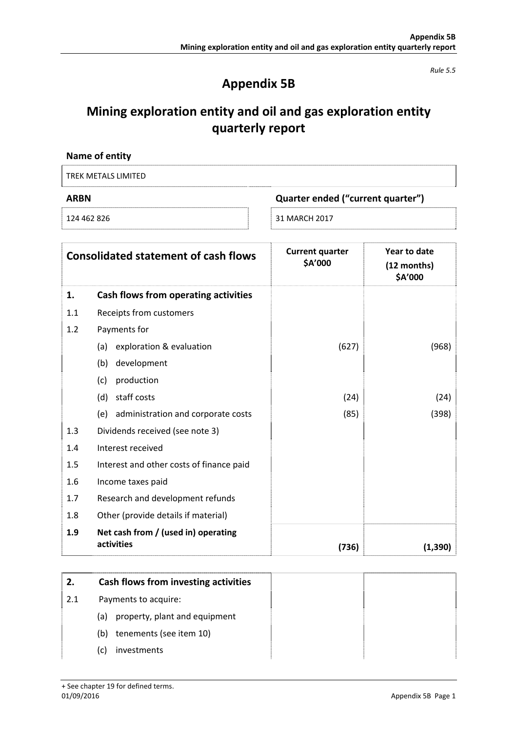*Rule 5.5* 

## **Appendix 5B**

# **Mining exploration entity and oil and gas exploration entity quarterly report**

| Name of entity      |                                   |
|---------------------|-----------------------------------|
| TREK METALS LIMITED |                                   |
| ARBN                | Quarter ended ("current quarter") |

124 462 826  **31 MARCH 2017** 

|     | <b>Consolidated statement of cash flows</b>       | <b>Current quarter</b><br>\$A'000 | Year to date<br>(12 months)<br>\$A'000 |
|-----|---------------------------------------------------|-----------------------------------|----------------------------------------|
| 1.  | Cash flows from operating activities              |                                   |                                        |
| 1.1 | Receipts from customers                           |                                   |                                        |
| 1.2 | Payments for                                      |                                   |                                        |
|     | exploration & evaluation<br>(a)                   | (627)                             | (968)                                  |
|     | development<br>(b)                                |                                   |                                        |
|     | production<br>(c)                                 |                                   |                                        |
|     | staff costs<br>(d)                                | (24)                              | (24)                                   |
|     | administration and corporate costs<br>(e)         | (85)                              | (398)                                  |
| 1.3 | Dividends received (see note 3)                   |                                   |                                        |
| 1.4 | Interest received                                 |                                   |                                        |
| 1.5 | Interest and other costs of finance paid          |                                   |                                        |
| 1.6 | Income taxes paid                                 |                                   |                                        |
| 1.7 | Research and development refunds                  |                                   |                                        |
| 1.8 | Other (provide details if material)               |                                   |                                        |
| 1.9 | Net cash from / (used in) operating<br>activities | (736)                             | (1, 390)                               |

| 2.  | Cash flows from investing activities |
|-----|--------------------------------------|
| 2.1 | Payments to acquire:                 |
|     | property, plant and equipment<br>(a) |
|     | tenements (see item 10)<br>(b)       |
|     | investments<br>(C)                   |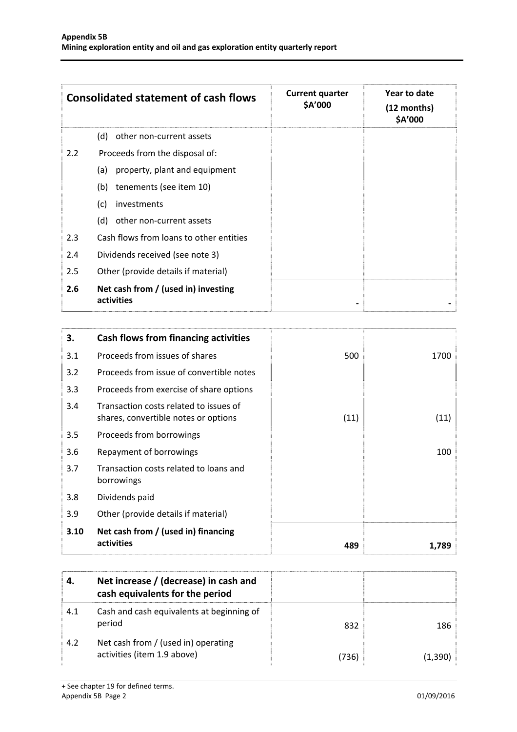|               | <b>Consolidated statement of cash flows</b>       | <b>Current quarter</b><br>\$A'000 | Year to date<br>(12 months)<br>\$A'000 |
|---------------|---------------------------------------------------|-----------------------------------|----------------------------------------|
|               | other non-current assets<br>(d)                   |                                   |                                        |
| $2.2^{\circ}$ | Proceeds from the disposal of:                    |                                   |                                        |
|               | property, plant and equipment<br>(a)              |                                   |                                        |
|               | tenements (see item 10)<br>(b)                    |                                   |                                        |
|               | (c)<br>investments                                |                                   |                                        |
|               | other non-current assets<br>(d)                   |                                   |                                        |
| 2.3           | Cash flows from loans to other entities           |                                   |                                        |
| 2.4           | Dividends received (see note 3)                   |                                   |                                        |
| 2.5           | Other (provide details if material)               |                                   |                                        |
| 2.6           | Net cash from / (used in) investing<br>activities |                                   |                                        |

| 3.   | Cash flows from financing activities                                           |      |       |
|------|--------------------------------------------------------------------------------|------|-------|
| 3.1  | Proceeds from issues of shares                                                 | 500  | 1700  |
| 3.2  | Proceeds from issue of convertible notes                                       |      |       |
| 3.3  | Proceeds from exercise of share options                                        |      |       |
| 3.4  | Transaction costs related to issues of<br>shares, convertible notes or options | (11) | (11)  |
| 3.5  | Proceeds from borrowings                                                       |      |       |
| 3.6  | Repayment of borrowings                                                        |      | 100   |
| 3.7  | Transaction costs related to loans and<br>borrowings                           |      |       |
| 3.8  | Dividends paid                                                                 |      |       |
| 3.9  | Other (provide details if material)                                            |      |       |
| 3.10 | Net cash from / (used in) financing<br>activities                              | 489  | 1.789 |

|     | Net increase / (decrease) in cash and<br>cash equivalents for the period |       |         |
|-----|--------------------------------------------------------------------------|-------|---------|
| 4.1 | Cash and cash equivalents at beginning of<br>period                      | 832   | 186     |
| 4.2 | Net cash from / (used in) operating<br>activities (item 1.9 above)       | (736) | (1.390) |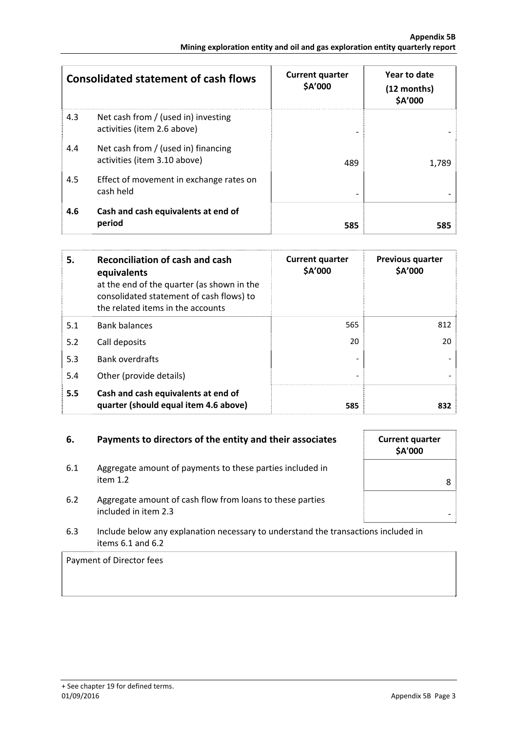|     | <b>Consolidated statement of cash flows</b>                         | <b>Current quarter</b><br>\$A'000 | Year to date<br>(12 months)<br>\$A'000 |
|-----|---------------------------------------------------------------------|-----------------------------------|----------------------------------------|
| 4.3 | Net cash from / (used in) investing<br>activities (item 2.6 above)  |                                   |                                        |
| 4.4 | Net cash from / (used in) financing<br>activities (item 3.10 above) | 489                               | 1,789                                  |
| 4.5 | Effect of movement in exchange rates on<br>cash held                |                                   |                                        |
| 4.6 | Cash and cash equivalents at end of<br>period                       | 585                               | 585                                    |

| 5.  | <b>Reconciliation of cash and cash</b><br>equivalents<br>at the end of the quarter (as shown in the<br>consolidated statement of cash flows) to<br>the related items in the accounts | <b>Current quarter</b><br>\$A'000 | <b>Previous quarter</b><br>\$A'000 |
|-----|--------------------------------------------------------------------------------------------------------------------------------------------------------------------------------------|-----------------------------------|------------------------------------|
| 5.1 | <b>Bank balances</b>                                                                                                                                                                 | 565                               | 812                                |
| 5.2 | Call deposits                                                                                                                                                                        | 20                                | 20                                 |
| 5.3 | <b>Bank overdrafts</b>                                                                                                                                                               |                                   |                                    |
| 5.4 | Other (provide details)                                                                                                                                                              |                                   |                                    |
| 5.5 | Cash and cash equivalents at end of<br>quarter (should equal item 4.6 above)                                                                                                         | 585                               | 832                                |

#### **6.** Payments to directors of the entity and their associates

- 6.1 Aggregate amount of payments to these parties included in item 1.2 8
- 6.2 Aggregate amount of cash flow from loans to these parties included in item 2.3
- 6.3 Include below any explanation necessary to understand the transactions included in items 6.1 and 6.2

### Payment of Director fees

| <b>Current quarter</b><br>\$A'000 |   |
|-----------------------------------|---|
|                                   | 8 |
|                                   |   |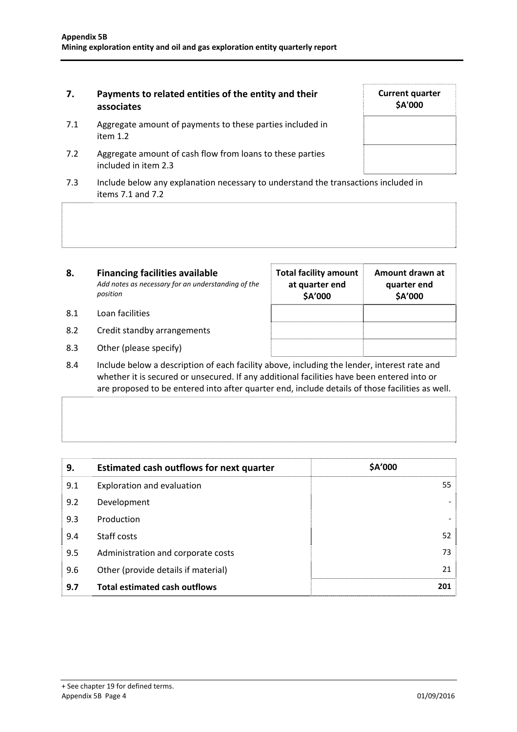#### **7. Payments to related entities of the entity and their associates**

- 7.1 Aggregate amount of payments to these parties included in item 1.2
- 7.2 Aggregate amount of cash flow from loans to these parties included in item 2.3
- 7.3 Include below any explanation necessary to understand the transactions included in items 7.1 and 7.2

| 8.  | <b>Financing facilities available</b><br>Add notes as necessary for an understanding of the<br>position | <b>Total facility amount</b><br>at quarter end<br>\$A'000 | Amount drawn at<br>quarter end<br>\$A'000 |
|-----|---------------------------------------------------------------------------------------------------------|-----------------------------------------------------------|-------------------------------------------|
| 8.1 | Loan facilities                                                                                         |                                                           |                                           |
| 8.2 | Credit standby arrangements                                                                             |                                                           |                                           |

- 8.3 Other (please specify)
- 8.4 Include below a description of each facility above, including the lender, interest rate and whether it is secured or unsecured. If any additional facilities have been entered into or are proposed to be entered into after quarter end, include details of those facilities as well.

| 9.  | <b>Estimated cash outflows for next quarter</b> | \$A'000           |
|-----|-------------------------------------------------|-------------------|
| 9.1 | Exploration and evaluation                      | 55                |
| 9.2 | Development                                     |                   |
| 9.3 | Production                                      | $\qquad \qquad -$ |
| 9.4 | Staff costs                                     | 52                |
| 9.5 | Administration and corporate costs              | 73                |
| 9.6 | Other (provide details if material)             | 21                |
| 9.7 | <b>Total estimated cash outflows</b>            | 201               |

**Current quarter \$A'000**